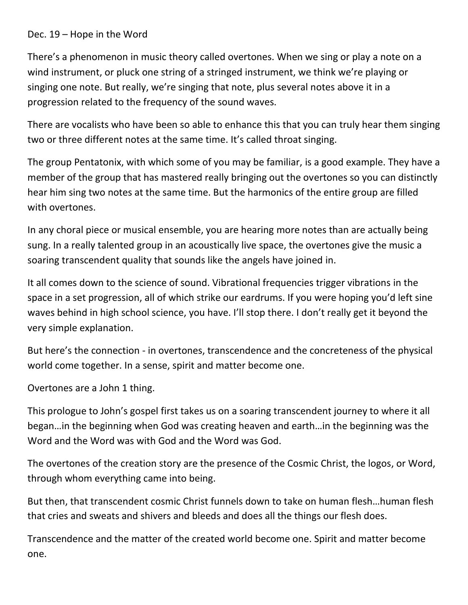## Dec. 19 – Hope in the Word

There's a phenomenon in music theory called overtones. When we sing or play a note on a wind instrument, or pluck one string of a stringed instrument, we think we're playing or singing one note. But really, we're singing that note, plus several notes above it in a progression related to the frequency of the sound waves.

There are vocalists who have been so able to enhance this that you can truly hear them singing two or three different notes at the same time. It's called throat singing.

The group Pentatonix, with which some of you may be familiar, is a good example. They have a member of the group that has mastered really bringing out the overtones so you can distinctly hear him sing two notes at the same time. But the harmonics of the entire group are filled with overtones.

In any choral piece or musical ensemble, you are hearing more notes than are actually being sung. In a really talented group in an acoustically live space, the overtones give the music a soaring transcendent quality that sounds like the angels have joined in.

It all comes down to the science of sound. Vibrational frequencies trigger vibrations in the space in a set progression, all of which strike our eardrums. If you were hoping you'd left sine waves behind in high school science, you have. I'll stop there. I don't really get it beyond the very simple explanation.

But here's the connection - in overtones, transcendence and the concreteness of the physical world come together. In a sense, spirit and matter become one.

Overtones are a John 1 thing.

This prologue to John's gospel first takes us on a soaring transcendent journey to where it all began…in the beginning when God was creating heaven and earth…in the beginning was the Word and the Word was with God and the Word was God.

The overtones of the creation story are the presence of the Cosmic Christ, the logos, or Word, through whom everything came into being.

But then, that transcendent cosmic Christ funnels down to take on human flesh…human flesh that cries and sweats and shivers and bleeds and does all the things our flesh does.

Transcendence and the matter of the created world become one. Spirit and matter become one.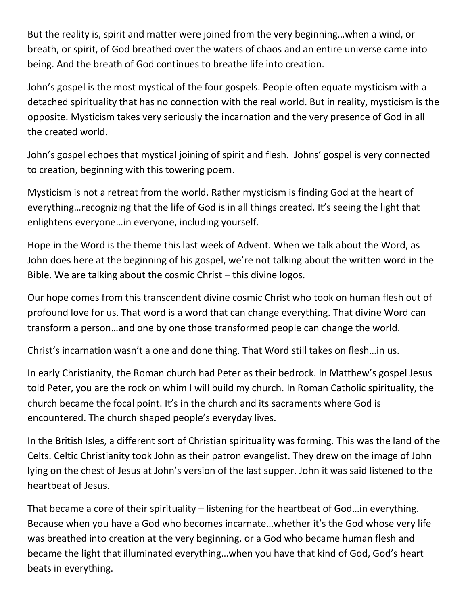But the reality is, spirit and matter were joined from the very beginning…when a wind, or breath, or spirit, of God breathed over the waters of chaos and an entire universe came into being. And the breath of God continues to breathe life into creation.

John's gospel is the most mystical of the four gospels. People often equate mysticism with a detached spirituality that has no connection with the real world. But in reality, mysticism is the opposite. Mysticism takes very seriously the incarnation and the very presence of God in all the created world.

John's gospel echoes that mystical joining of spirit and flesh. Johns' gospel is very connected to creation, beginning with this towering poem.

Mysticism is not a retreat from the world. Rather mysticism is finding God at the heart of everything…recognizing that the life of God is in all things created. It's seeing the light that enlightens everyone…in everyone, including yourself.

Hope in the Word is the theme this last week of Advent. When we talk about the Word, as John does here at the beginning of his gospel, we're not talking about the written word in the Bible. We are talking about the cosmic Christ – this divine logos.

Our hope comes from this transcendent divine cosmic Christ who took on human flesh out of profound love for us. That word is a word that can change everything. That divine Word can transform a person…and one by one those transformed people can change the world.

Christ's incarnation wasn't a one and done thing. That Word still takes on flesh…in us.

In early Christianity, the Roman church had Peter as their bedrock. In Matthew's gospel Jesus told Peter, you are the rock on whim I will build my church. In Roman Catholic spirituality, the church became the focal point. It's in the church and its sacraments where God is encountered. The church shaped people's everyday lives.

In the British Isles, a different sort of Christian spirituality was forming. This was the land of the Celts. Celtic Christianity took John as their patron evangelist. They drew on the image of John lying on the chest of Jesus at John's version of the last supper. John it was said listened to the heartbeat of Jesus.

That became a core of their spirituality – listening for the heartbeat of God…in everything. Because when you have a God who becomes incarnate…whether it's the God whose very life was breathed into creation at the very beginning, or a God who became human flesh and became the light that illuminated everything…when you have that kind of God, God's heart beats in everything.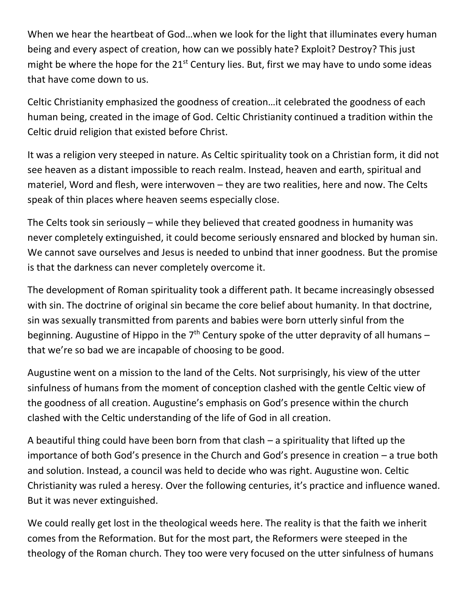When we hear the heartbeat of God…when we look for the light that illuminates every human being and every aspect of creation, how can we possibly hate? Exploit? Destroy? This just might be where the hope for the  $21^{st}$  Century lies. But, first we may have to undo some ideas that have come down to us.

Celtic Christianity emphasized the goodness of creation…it celebrated the goodness of each human being, created in the image of God. Celtic Christianity continued a tradition within the Celtic druid religion that existed before Christ.

It was a religion very steeped in nature. As Celtic spirituality took on a Christian form, it did not see heaven as a distant impossible to reach realm. Instead, heaven and earth, spiritual and materiel, Word and flesh, were interwoven – they are two realities, here and now. The Celts speak of thin places where heaven seems especially close.

The Celts took sin seriously – while they believed that created goodness in humanity was never completely extinguished, it could become seriously ensnared and blocked by human sin. We cannot save ourselves and Jesus is needed to unbind that inner goodness. But the promise is that the darkness can never completely overcome it.

The development of Roman spirituality took a different path. It became increasingly obsessed with sin. The doctrine of original sin became the core belief about humanity. In that doctrine, sin was sexually transmitted from parents and babies were born utterly sinful from the beginning. Augustine of Hippo in the  $7<sup>th</sup>$  Century spoke of the utter depravity of all humans – that we're so bad we are incapable of choosing to be good.

Augustine went on a mission to the land of the Celts. Not surprisingly, his view of the utter sinfulness of humans from the moment of conception clashed with the gentle Celtic view of the goodness of all creation. Augustine's emphasis on God's presence within the church clashed with the Celtic understanding of the life of God in all creation.

A beautiful thing could have been born from that clash – a spirituality that lifted up the importance of both God's presence in the Church and God's presence in creation – a true both and solution. Instead, a council was held to decide who was right. Augustine won. Celtic Christianity was ruled a heresy. Over the following centuries, it's practice and influence waned. But it was never extinguished.

We could really get lost in the theological weeds here. The reality is that the faith we inherit comes from the Reformation. But for the most part, the Reformers were steeped in the theology of the Roman church. They too were very focused on the utter sinfulness of humans